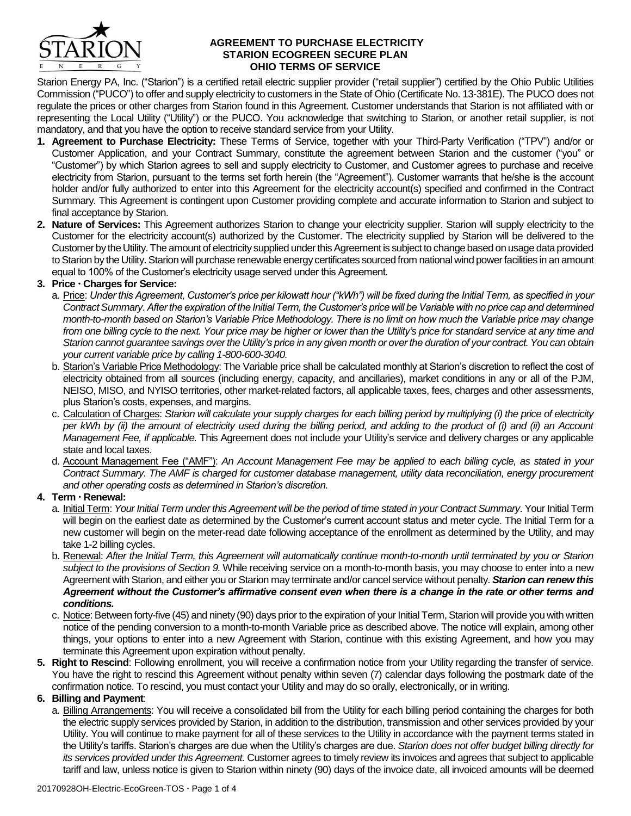

#### **AGREEMENT TO PURCHASE ELECTRICITY STARION ECOGREEN SECURE PLAN OHIO TERMS OF SERVICE**

Starion Energy PA, Inc. ("Starion") is a certified retail electric supplier provider ("retail supplier") certified by the Ohio Public Utilities Commission ("PUCO") to offer and supply electricity to customers in the State of Ohio (Certificate No. 13-381E). The PUCO does not regulate the prices or other charges from Starion found in this Agreement. Customer understands that Starion is not affiliated with or representing the Local Utility ("Utility") or the PUCO. You acknowledge that switching to Starion, or another retail supplier, is not mandatory, and that you have the option to receive standard service from your Utility.

- **1. Agreement to Purchase Electricity:** These Terms of Service, together with your Third-Party Verification ("TPV") and/or or Customer Application, and your Contract Summary, constitute the agreement between Starion and the customer ("you" or "Customer") by which Starion agrees to sell and supply electricity to Customer, and Customer agrees to purchase and receive electricity from Starion, pursuant to the terms set forth herein (the "Agreement"). Customer warrants that he/she is the account holder and/or fully authorized to enter into this Agreement for the electricity account(s) specified and confirmed in the Contract Summary. This Agreement is contingent upon Customer providing complete and accurate information to Starion and subject to final acceptance by Starion.
- **2. Nature of Services:** This Agreement authorizes Starion to change your electricity supplier. Starion will supply electricity to the Customer for the electricity account(s) authorized by the Customer. The electricity supplied by Starion will be delivered to the Customer by the Utility. The amount of electricity supplied under this Agreement is subject to change based on usage data provided to Starion by the Utility. Starion will purchase renewable energy certificates sourced from national wind power facilities in an amount equal to 100% of the Customer's electricity usage served under this Agreement.

# **3. Price Charges for Service:**

- a. Price: *Under this Agreement, Customer's price per kilowatt hour ("kWh") will be fixed during the Initial Term, as specified in your Contract Summary. After the expiration of the Initial Term, the Customer's price will be Variable with no price cap and determined month-to-month based on Starion's Variable Price Methodology. There is no limit on how much the Variable price may change from one billing cycle to the next. Your price may be higher or lower than the Utility's price for standard service at any time and Starion cannot guarantee savings over the Utility's price in any given month or over the duration of your contract. You can obtain your current variable price by calling 1-800-600-3040.*
- b. Starion's Variable Price Methodology: The Variable price shall be calculated monthly at Starion's discretion to reflect the cost of electricity obtained from all sources (including energy, capacity, and ancillaries), market conditions in any or all of the PJM, NEISO, MISO, and NYISO territories, other market-related factors, all applicable taxes, fees, charges and other assessments, plus Starion's costs, expenses, and margins.
- c. Calculation of Charges: *Starion will calculate your supply charges for each billing period by multiplying (i) the price of electricity per kWh by (ii) the amount of electricity used during the billing period, and adding to the product of (i) and (ii) an Account Management Fee, if applicable.* This Agreement does not include your Utility's service and delivery charges or any applicable state and local taxes.
- d. Account Management Fee ("AMF"): *An Account Management Fee may be applied to each billing cycle, as stated in your Contract Summary. The AMF is charged for customer database management, utility data reconciliation, energy procurement and other operating costs as determined in Starion's discretion.*

## **4. Term Renewal:**

- a. Initial Term: Your Initial Term under this Agreement will be the period of time stated in your Contract Summary. Your Initial Term will begin on the earliest date as determined by the Customer's current account status and meter cycle. The Initial Term for a new customer will begin on the meter-read date following acceptance of the enrollment as determined by the Utility, and may take 1-2 billing cycles.
- b. Renewal: *After the Initial Term, this Agreement will automatically continue month-to-month until terminated by you or Starion subject to the provisions of Section 9.* While receiving service on a month-to-month basis, you may choose to enter into a new Agreement with Starion, and either you or Starion may terminate and/or cancel service without penalty. *Starion can renew this Agreement without the Customer's affirmative consent even when there is a change in the rate or other terms and conditions.*
- c. Notice: Between forty-five (45) and ninety (90) days prior to the expiration of your Initial Term, Starion will provide you with written notice of the pending conversion to a month-to-month Variable price as described above. The notice will explain, among other things, your options to enter into a new Agreement with Starion, continue with this existing Agreement, and how you may terminate this Agreement upon expiration without penalty.
- **5. Right to Rescind**: Following enrollment, you will receive a confirmation notice from your Utility regarding the transfer of service. You have the right to rescind this Agreement without penalty within seven (7) calendar days following the postmark date of the confirmation notice. To rescind, you must contact your Utility and may do so orally, electronically, or in writing.

## **6. Billing and Payment**:

a. Billing Arrangements: You will receive a consolidated bill from the Utility for each billing period containing the charges for both the electric supply services provided by Starion, in addition to the distribution, transmission and other services provided by your Utility. You will continue to make payment for all of these services to the Utility in accordance with the payment terms stated in the Utility's tariffs. Starion's charges are due when the Utility's charges are due. *Starion does not offer budget billing directly for its services provided under this Agreement.* Customer agrees to timely review its invoices and agrees that subject to applicable tariff and law, unless notice is given to Starion within ninety (90) days of the invoice date, all invoiced amounts will be deemed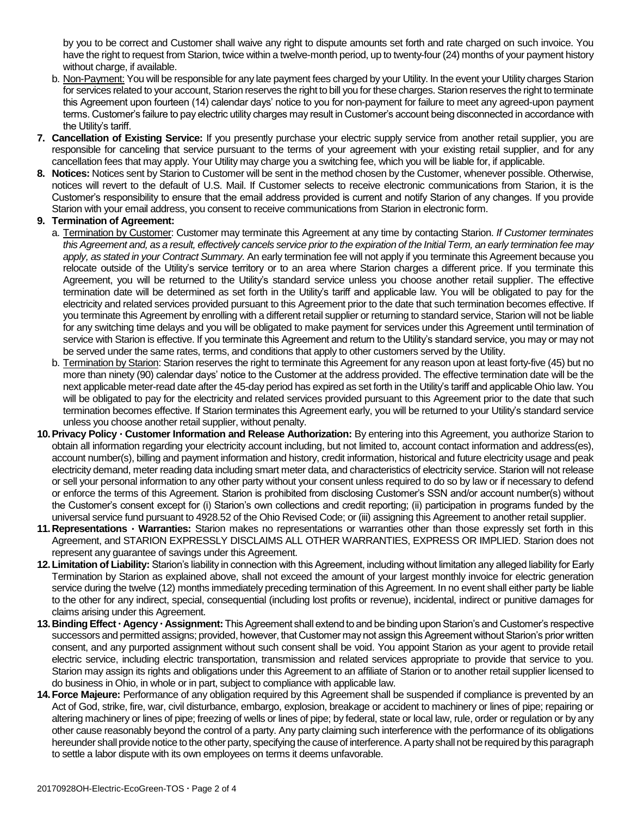by you to be correct and Customer shall waive any right to dispute amounts set forth and rate charged on such invoice. You have the right to request from Starion, twice within a twelve-month period, up to twenty-four (24) months of your payment history without charge, if available.

- b. Non-Payment: You will be responsible for any late payment fees charged by your Utility. In the event your Utility charges Starion for services related to your account, Starion reserves the right to bill you for these charges. Starion reserves the right to terminate this Agreement upon fourteen (14) calendar days' notice to you for non-payment for failure to meet any agreed-upon payment terms. Customer's failure to pay electric utility charges may result in Customer's account being disconnected in accordance with the Utility's tariff.
- **7. Cancellation of Existing Service:** If you presently purchase your electric supply service from another retail supplier, you are responsible for canceling that service pursuant to the terms of your agreement with your existing retail supplier, and for any cancellation fees that may apply. Your Utility may charge you a switching fee, which you will be liable for, if applicable.
- **8. Notices:** Notices sent by Starion to Customer will be sent in the method chosen by the Customer, whenever possible. Otherwise, notices will revert to the default of U.S. Mail. If Customer selects to receive electronic communications from Starion, it is the Customer's responsibility to ensure that the email address provided is current and notify Starion of any changes. If you provide Starion with your email address, you consent to receive communications from Starion in electronic form.

## **9. Termination of Agreement:**

- a. Termination by Customer: Customer may terminate this Agreement at any time by contacting Starion. *If Customer terminates this Agreement and, as a result, effectively cancels service prior to the expiration of the Initial Term, an early termination fee may apply, as stated in your Contract Summary.* An early termination fee will not apply if you terminate this Agreement because you relocate outside of the Utility's service territory or to an area where Starion charges a different price. If you terminate this Agreement, you will be returned to the Utility's standard service unless you choose another retail supplier. The effective termination date will be determined as set forth in the Utility's tariff and applicable law. You will be obligated to pay for the electricity and related services provided pursuant to this Agreement prior to the date that such termination becomes effective. If you terminate this Agreement by enrolling with a different retail supplier or returning to standard service, Starion will not be liable for any switching time delays and you will be obligated to make payment for services under this Agreement until termination of service with Starion is effective. If you terminate this Agreement and return to the Utility's standard service, you may or may not be served under the same rates, terms, and conditions that apply to other customers served by the Utility.
- b. Termination by Starion: Starion reserves the right to terminate this Agreement for any reason upon at least forty-five (45) but no more than ninety (90) calendar days' notice to the Customer at the address provided. The effective termination date will be the next applicable meter-read date after the 45-day period has expired as set forth in the Utility's tariff and applicable Ohio law. You will be obligated to pay for the electricity and related services provided pursuant to this Agreement prior to the date that such termination becomes effective. If Starion terminates this Agreement early, you will be returned to your Utility's standard service unless you choose another retail supplier, without penalty.
- **10.Privacy Policy Customer Information and Release Authorization:** By entering into this Agreement, you authorize Starion to obtain all information regarding your electricity account including, but not limited to, account contact information and address(es), account number(s), billing and payment information and history, credit information, historical and future electricity usage and peak electricity demand, meter reading data including smart meter data, and characteristics of electricity service. Starion will not release or sell your personal information to any other party without your consent unless required to do so by law or if necessary to defend or enforce the terms of this Agreement. Starion is prohibited from disclosing Customer's SSN and/or account number(s) without the Customer's consent except for (i) Starion's own collections and credit reporting; (ii) participation in programs funded by the universal service fund pursuant to 4928.52 of the Ohio Revised Code; or (iii) assigning this Agreement to another retail supplier.
- 11. Representations Warranties: Starion makes no representations or warranties other than those expressly set forth in this Agreement, and STARION EXPRESSLY DISCLAIMS ALL OTHER WARRANTIES, EXPRESS OR IMPLIED. Starion does not represent any guarantee of savings under this Agreement.
- **12.Limitation of Liability:** Starion's liability in connection with this Agreement, including without limitation any alleged liability for Early Termination by Starion as explained above, shall not exceed the amount of your largest monthly invoice for electric generation service during the twelve (12) months immediately preceding termination of this Agreement. In no event shall either party be liable to the other for any indirect, special, consequential (including lost profits or revenue), incidental, indirect or punitive damages for claims arising under this Agreement.
- **13.Binding Effect Agency Assignment:** This Agreement shall extend to and be binding upon Starion's and Customer's respective successors and permitted assigns; provided, however, that Customer may not assign this Agreement without Starion's prior written consent, and any purported assignment without such consent shall be void. You appoint Starion as your agent to provide retail electric service, including electric transportation, transmission and related services appropriate to provide that service to you. Starion may assign its rights and obligations under this Agreement to an affiliate of Starion or to another retail supplier licensed to do business in Ohio, in whole or in part, subject to compliance with applicable law.
- **14.Force Majeure:** Performance of any obligation required by this Agreement shall be suspended if compliance is prevented by an Act of God, strike, fire, war, civil disturbance, embargo, explosion, breakage or accident to machinery or lines of pipe; repairing or altering machinery or lines of pipe; freezing of wells or lines of pipe; by federal, state or local law, rule, order or regulation or by any other cause reasonably beyond the control of a party. Any party claiming such interference with the performance of its obligations hereunder shall provide notice to the other party, specifying the cause of interference. A party shall not be required by this paragraph to settle a labor dispute with its own employees on terms it deems unfavorable.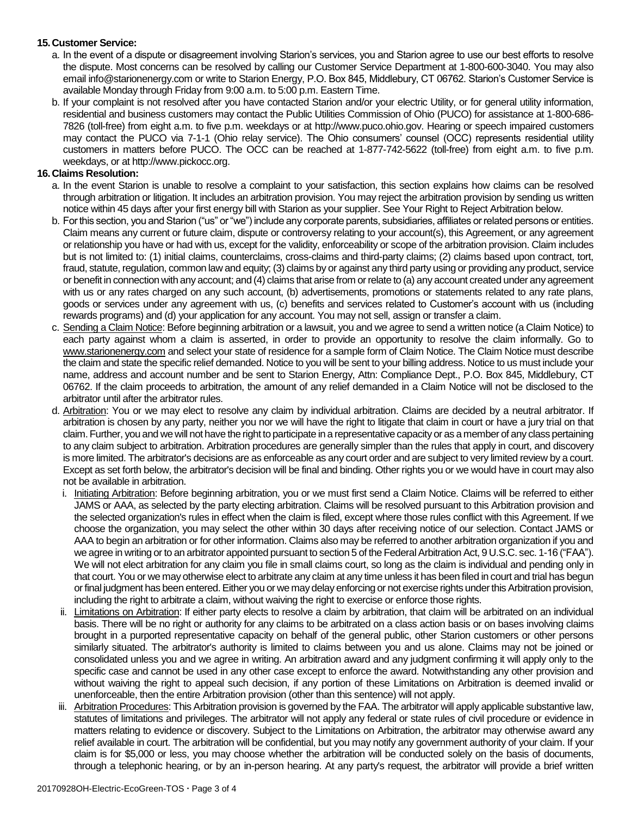## **15.Customer Service:**

- a. In the event of a dispute or disagreement involving Starion's services, you and Starion agree to use our best efforts to resolve the dispute. Most concerns can be resolved by calling our Customer Service Department at 1-800-600-3040. You may also email info@starionenergy.com or write to Starion Energy, P.O. Box 845, Middlebury, CT 06762. Starion's Customer Service is available Monday through Friday from 9:00 a.m. to 5:00 p.m. Eastern Time.
- b. If your complaint is not resolved after you have contacted Starion and/or your electric Utility, or for general utility information, residential and business customers may contact the Public Utilities Commission of Ohio (PUCO) for assistance at 1-800-686- 7826 (toll-free) from eight a.m. to five p.m. weekdays or at http://www.puco.ohio.gov. Hearing or speech impaired customers may contact the PUCO via 7-1-1 (Ohio relay service). The Ohio consumers' counsel (OCC) represents residential utility customers in matters before PUCO. The OCC can be reached at 1-877-742-5622 (toll-free) from eight a.m. to five p.m. weekdays, or at http://www.pickocc.org.

## **16.Claims Resolution:**

- a. In the event Starion is unable to resolve a complaint to your satisfaction, this section explains how claims can be resolved through arbitration or litigation. It includes an arbitration provision. You may reject the arbitration provision by sending us written notice within 45 days after your first energy bill with Starion as your supplier. See Your Right to Reject Arbitration below.
- b. For this section, you and Starion ("us" or "we") include any corporate parents, subsidiaries, affiliates or related persons or entities. Claim means any current or future claim, dispute or controversy relating to your account(s), this Agreement, or any agreement or relationship you have or had with us, except for the validity, enforceability or scope of the arbitration provision. Claim includes but is not limited to: (1) initial claims, counterclaims, cross-claims and third-party claims; (2) claims based upon contract, tort, fraud, statute, regulation, common law and equity; (3) claims by or against any third party using or providing any product, service or benefit in connection with any account; and (4) claims that arise from or relate to (a) any account created under any agreement with us or any rates charged on any such account, (b) advertisements, promotions or statements related to any rate plans, goods or services under any agreement with us, (c) benefits and services related to Customer's account with us (including rewards programs) and (d) your application for any account. You may not sell, assign or transfer a claim.
- c. Sending a Claim Notice: Before beginning arbitration or a lawsuit, you and we agree to send a written notice (a Claim Notice) to each party against whom a claim is asserted, in order to provide an opportunity to resolve the claim informally. Go to www.starionenergy.com and select your state of residence for a sample form of Claim Notice. The Claim Notice must describe the claim and state the specific relief demanded. Notice to you will be sent to your billing address. Notice to us must include your name, address and account number and be sent to Starion Energy, Attn: Compliance Dept., P.O. Box 845, Middlebury, CT 06762. If the claim proceeds to arbitration, the amount of any relief demanded in a Claim Notice will not be disclosed to the arbitrator until after the arbitrator rules.
- d. Arbitration: You or we may elect to resolve any claim by individual arbitration. Claims are decided by a neutral arbitrator. If arbitration is chosen by any party, neither you nor we will have the right to litigate that claim in court or have a jury trial on that claim. Further, you and we will not have the right to participate in a representative capacity or as a member of any class pertaining to any claim subject to arbitration. Arbitration procedures are generally simpler than the rules that apply in court, and discovery is more limited. The arbitrator's decisions are as enforceable as any court order and are subject to very limited review by a court. Except as set forth below, the arbitrator's decision will be final and binding. Other rights you or we would have in court may also not be available in arbitration.
	- i. Initiating Arbitration: Before beginning arbitration, you or we must first send a Claim Notice. Claims will be referred to either JAMS or AAA, as selected by the party electing arbitration. Claims will be resolved pursuant to this Arbitration provision and the selected organization's rules in effect when the claim is filed, except where those rules conflict with this Agreement. If we choose the organization, you may select the other within 30 days after receiving notice of our selection. Contact JAMS or AAA to begin an arbitration or for other information. Claims also may be referred to another arbitration organization if you and we agree in writing or to an arbitrator appointed pursuant to section 5 of the Federal Arbitration Act, 9 U.S.C. sec. 1-16 ("FAA"). We will not elect arbitration for any claim you file in small claims court, so long as the claim is individual and pending only in that court. You or we may otherwise elect to arbitrate any claim at any time unless it has been filed in court and trial has begun or final judgment has been entered. Either you or we may delay enforcing or not exercise rights under this Arbitration provision, including the right to arbitrate a claim, without waiving the right to exercise or enforce those rights.
	- ii. Limitations on Arbitration: If either party elects to resolve a claim by arbitration, that claim will be arbitrated on an individual basis. There will be no right or authority for any claims to be arbitrated on a class action basis or on bases involving claims brought in a purported representative capacity on behalf of the general public, other Starion customers or other persons similarly situated. The arbitrator's authority is limited to claims between you and us alone. Claims may not be joined or consolidated unless you and we agree in writing. An arbitration award and any judgment confirming it will apply only to the specific case and cannot be used in any other case except to enforce the award. Notwithstanding any other provision and without waiving the right to appeal such decision, if any portion of these Limitations on Arbitration is deemed invalid or unenforceable, then the entire Arbitration provision (other than this sentence) will not apply.
	- iii. Arbitration Procedures: This Arbitration provision is governed by the FAA. The arbitrator will apply applicable substantive law, statutes of limitations and privileges. The arbitrator will not apply any federal or state rules of civil procedure or evidence in matters relating to evidence or discovery. Subject to the Limitations on Arbitration, the arbitrator may otherwise award any relief available in court. The arbitration will be confidential, but you may notify any government authority of your claim. If your claim is for \$5,000 or less, you may choose whether the arbitration will be conducted solely on the basis of documents, through a telephonic hearing, or by an in-person hearing. At any party's request, the arbitrator will provide a brief written